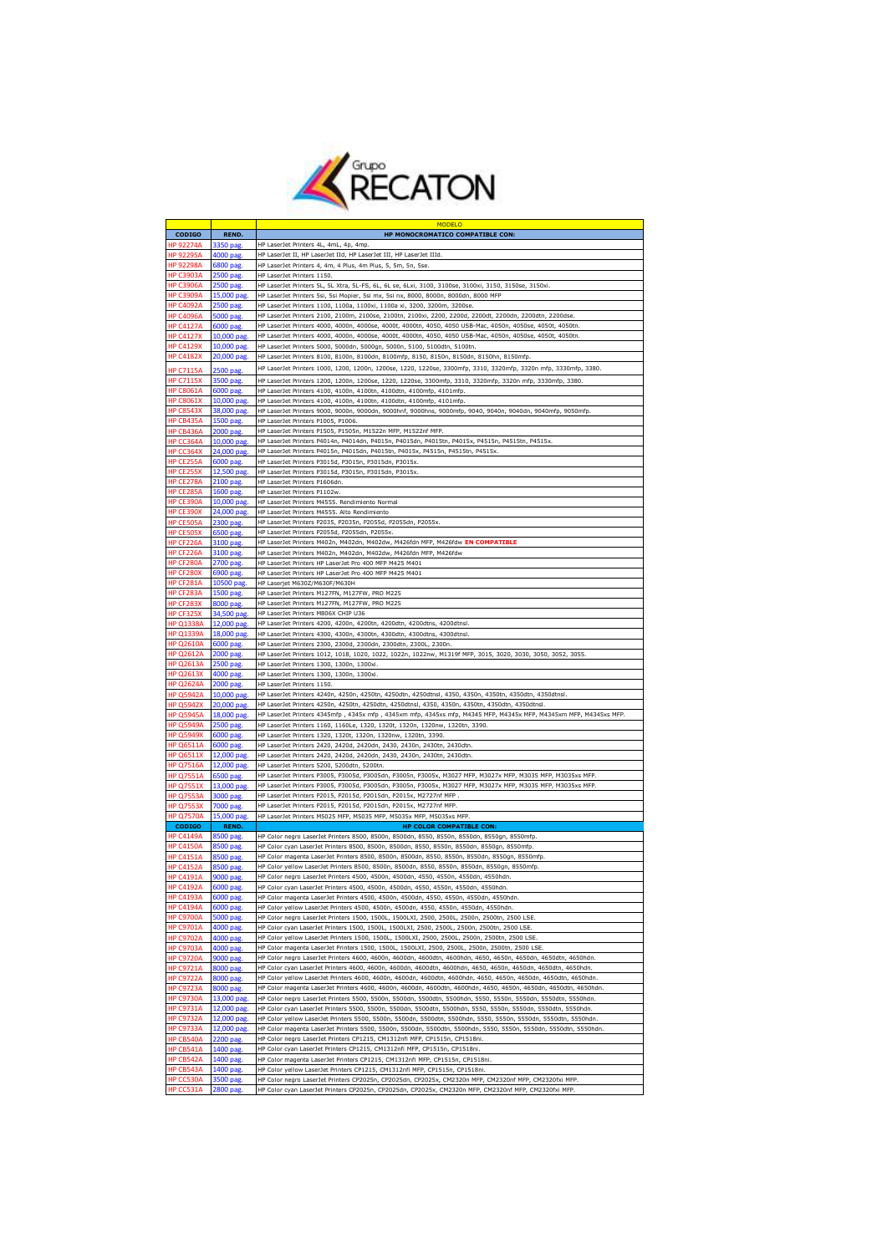

|                                      |                           | MODELO                                                                                                                                                                                       |
|--------------------------------------|---------------------------|----------------------------------------------------------------------------------------------------------------------------------------------------------------------------------------------|
| <b>CODIGO</b>                        | <b>REND.</b>              | HP MONOCROMATICO COMPATIBLE CON:                                                                                                                                                             |
| HP 92274A                            | 3350 pag                  | HP LaserJet Printers 4L, 4mL, 4p, 4mp                                                                                                                                                        |
| <b>HP 92295A</b>                     | 4000 pag.                 | HP LaserJet II, HP LaserJet IId, HP LaserJet III, HP LaserJet IIId.                                                                                                                          |
| <b>HP 92298A</b>                     | 6800 pag.                 | HP LaserJet Printers 4, 4m, 4 Plus, 4m Plus, 5, 5m, 5n, 5se.                                                                                                                                 |
| <b>HP C3903A</b>                     | 2500 pag                  | HP LaserJet Printers 1150.                                                                                                                                                                   |
| <b>HP C3906A</b>                     | 2500 pag.                 | HP LaserJet Printers 5L, 5L Xtra, 5L-FS, 6L, 6L se, 6Lxi, 3100, 3100se, 3100xi, 3150, 3150se, 3150xi.                                                                                        |
| <b>HP C3909A</b>                     | 15,000 pag.               | HP LaserJet Printers 5si, 5si Mopier, 5si mx, 5si nx, 8000, 8000n, 8000dn, 8000 MFP                                                                                                          |
| <b>HP C4092A</b>                     | 2500 pag.                 | HP LaserJet Printers 1100, 1100a, 1100xi, 1100a xi, 3200, 3200m, 3200se                                                                                                                      |
| <b>HP C4096A</b>                     | 5000 pag                  | HP LaserJet Printers 2100, 2100m, 2100se, 2100tn, 2100xi, 2200, 2200d, 2200dt, 2200dn, 2200dtn, 2200dse                                                                                      |
| <b>HP C4127A</b>                     | 6000 pag.                 | HP LaserJet Printers 4000, 4000n, 4000se, 4000t, 4000tn, 4050, 4050 USB-Mac, 4050n, 4050se, 4050t, 4050tn.                                                                                   |
| <b>HP C4127X</b>                     | 10,000 pag.               | HP LaserJet Printers 4000, 4000n, 4000se, 4000t, 4000tn, 4050, 4050 USB-Mac, 4050n, 4050se, 4050t, 4050tn.                                                                                   |
| <b>HP C4129X</b>                     | 10,000 pag.               | HP LaserJet Printers 5000, 5000dn, 5000gn, 5000n, 5100, 5100dtn, 5100tn                                                                                                                      |
| <b>HP C4182X</b>                     | 20,000 pag.               | HP LaserJet Printers 8100, 8100n, 8100dn, 8100mfp, 8150, 8150n, 8150dn, 8150hn, 8150mfp.                                                                                                     |
| <b>HP C7115A</b>                     | 2500 pag.                 | HP LaserJet Printers 1000, 1200, 1200n, 1200se, 1220, 1220se, 3300mfp, 3310, 3320mfp, 3320n mfp, 3330mfp, 3380.                                                                              |
| <b>HP C7115X</b>                     | 3500 pag.                 | HP LaserJet Printers 1200, 1200n, 1200se, 1220, 1220se, 3300mfp, 3310, 3320mfp, 3320n mfp, 3330mfp, 3380.                                                                                    |
| <b>HP C8061A</b>                     | 6000 pag.                 | HP LaserJet Printers 4100, 4100n, 4100tn, 4100dtn, 4100mfp, 4101mfp.                                                                                                                         |
| <b>HP C8061X</b>                     | 10,000 pag                | HP LaserJet Printers 4100, 4100n, 4100tn, 4100dtn, 4100mfp, 4101mfp                                                                                                                          |
| <b>HP C8543X</b>                     | 38,000 pag.               | HP LaserJet Printers 9000, 9000n, 9000dn, 9000hnf, 9000hns, 9000mfp, 9040, 9040n, 9040dn, 9040mfp, 9050mfp.                                                                                  |
| HP CB435A                            | 1500 pag.                 | HP LaserJet Printers P1005, P1006.                                                                                                                                                           |
| HP CB436A                            | 2000 pag.                 | HP LaserJet Printers P1505, P1505n, M1522n MFP, M1522nf MFP.                                                                                                                                 |
| <b>HP CC364A</b>                     | 10,000 pag                | HP LaserJet Printers P4014n, P4014dn, P4015n, P4015dn, P4015tn, P4015x, P4515n, P4515tn, P4515x.                                                                                             |
| HP CC364X                            | 24,000 pag                | HP LaserJet Printers P4015n, P4015dn, P4015tn, P4015x, P4515n, P4515tn, P4515x.                                                                                                              |
| HP CE255A                            | 6000 pag.                 | HP LaserJet Printers P3015d, P3015n, P3015dn, P3015x.                                                                                                                                        |
| HP CE255X                            | 12,500 pag.               | HP LaserJet Printers P3015d, P3015n, P3015dn, P3015x                                                                                                                                         |
| HP CE278A                            | 2100 pag                  | HP LaserJet Printers P1606dn.                                                                                                                                                                |
| HP CE285A                            | 1600 pag.                 | HP LaserJet Printers P1102w.                                                                                                                                                                 |
| HP CE390A                            | 10,000 pag                | HP LaserJet Printers M4555. Rendimiento Normal                                                                                                                                               |
| HP CE390X                            | 24,000 pag.               | HP LaserJet Printers M4555. Alto Rendimiento                                                                                                                                                 |
| HP CE505A                            | 2300 pag.                 | HP LaserJet Printers P2035, P2035n, P2055d, P2055dn, P2055x.                                                                                                                                 |
| HP CE505X                            | 6500 pag.                 | HP LaserJet Printers P2055d, P2055dn, P2055x.                                                                                                                                                |
| HP CF226A                            | 3100 pag.                 | HP LaserJet Printers M402n, M402dn, M402dw, M426fdn MFP, M426fdw EN COMPATIBLE                                                                                                               |
| HP CF226A                            | 3100 pag                  | HP LaserJet Printers M402n, M402dn, M402dw, M426fdn MFP, M426fdw                                                                                                                             |
| HP CF280A                            | 2700 pag.                 | HP LaserJet Printers HP LaserJet Pro 400 MFP M425 M401                                                                                                                                       |
| HP CF280X                            | 6900 pag.                 | HP LaserJet Printers HP LaserJet Pro 400 MFP M425 M401                                                                                                                                       |
| HP CF281A                            | 10500 pag.                | HP Laserjet M630Z/M630F/M630H                                                                                                                                                                |
| HP CF283A<br>HP CF283X               | 1500 pag.                 | HP LaserJet Printers M127FN, M127FW, PRO M225                                                                                                                                                |
|                                      | 8000 pag                  | HP LaserJet Printers M127FN, M127FW, PRO M225                                                                                                                                                |
| HP CF325X<br><b>HP Q1338A</b>        | 34,500 pag.<br>12,000 pag | HP LaserJet Printers M806X CHIP U36<br>HP LaserJet Printers 4200, 4200n, 4200tn, 4200dtn, 4200dtns, 4200dtnsl.                                                                               |
| <b>HP Q1339A</b>                     | 18,000 pag                | HP LaserJet Printers 4300, 4300n, 4300tn, 4300dtn, 4300dtns, 4300dtnsl.                                                                                                                      |
|                                      |                           | HP LaserJet Printers 2300, 2300d, 2300dn, 2300dtn, 2300L, 2300n.                                                                                                                             |
| <b>HP Q2610A</b><br><b>HP Q2612A</b> | 6000 pag.<br>2000 pag.    | HP LaserJet Printers 1012, 1018, 1020, 1022, 1022n, 1022nw, M1319f MFP, 3015, 3020, 3030, 3050, 3052, 3055.                                                                                  |
| <b>HP Q2613A</b>                     | 2500 pag                  | HP LaserJet Printers 1300, 1300n, 1300xi.                                                                                                                                                    |
| <b>HP Q2613X</b>                     | 4000 pag.                 | HP LaserJet Printers 1300, 1300n, 1300xi.                                                                                                                                                    |
| <b>HP Q2624A</b>                     | 2000 pag.                 | HP LaserJet Printers 1150.                                                                                                                                                                   |
| <b>HP Q5942A</b>                     | 10,000 pag.               | HP LaserJet Printers 4240n, 4250n, 4250tn, 4250dtn, 4250dtnsl, 4350, 4350n, 4350tn, 4350dtn, 4350dtnsl.                                                                                      |
| <b>HP Q5942X</b>                     | 20,000 pag                | HP LaserJet Printers 4250n, 4250tn, 4250dtn, 4250dtnsl, 4350, 4350n, 4350tn, 4350dtn, 4350dtns                                                                                               |
| <b>HP Q5945A</b>                     | 18,000 pag.               | HP LaserJet Printers 4345mfp , 4345x mfp , 4345xm mfp, 4345xs mfp, M4345 MFP, M4345x MFP, M4345xm MFP, M4345xs MFP.                                                                          |
| <b>HP Q5949A</b>                     | 2500 pag.                 | HP LaserJet Printers 1160, 1160Le, 1320, 1320t, 1320n, 1320nw, 1320tn, 3390.                                                                                                                 |
| <b>HP Q5949X</b>                     | 6000 pag.                 | HP LaserJet Printers 1320, 1320t, 1320n, 1320nw, 1320tn, 3390.                                                                                                                               |
| HP Q6511A                            | 6000 pag                  | HP LaserJet Printers 2420, 2420d, 2420dn, 2430, 2430n, 2430tn, 2430dtn.                                                                                                                      |
| <b>HP Q6511X</b>                     | 12,000 pag                | HP LaserJet Printers 2420, 2420d, 2420dn, 2430, 2430n, 2430tn, 2430dtn.                                                                                                                      |
| <b>HP Q7516A</b>                     | 12,000 pag.               | HP LaserJet Printers 5200, 5200dtn, 5200tn.                                                                                                                                                  |
| <b>HP Q7551A</b>                     | 6500 pag.                 | HP LaserJet Printers P3005, P3005d, P3005dn, P3005n, P3005x, M3027 MFP, M3027x MFP, M3035 MFP, M3035xs MFP.                                                                                  |
| <b>HP Q7551&gt;</b>                  | 13,000 pag                | HP LaserJet Printers P3005, P3005d, P3005dn, P3005n, P3005x, M3027 MFP, M3027x MFP, M3035 MFP, M3035xs MFP.                                                                                  |
| <b>HP Q7553A</b>                     | 3000 pag.                 | HP LaserJet Printers P2015, P2015d, P2015dn, P2015x, M2727nf MFP.                                                                                                                            |
| <b>HP Q7553X</b>                     | 7000 pag.                 | HP LaserJet Printers P2015, P2015d, P2015dn, P2015x, M2727nf MFP.                                                                                                                            |
| <b>HP 07570A</b>                     | 15,000 pag                | HP LaserJet Printers M5025 MFP, M5035 MFP, M5035x MFP, M5035xs MFP.                                                                                                                          |
| <b>CODIGO</b>                        | REND.                     | <b>HP COLOR COMPATIBLE CON:</b>                                                                                                                                                              |
| <b>HP C4149A</b>                     | 8500 pag.                 | HP Color negro LaserJet Printers 8500, 8500n, 8500dn, 8550, 8550n, 8550dn, 8550gn, 8550mfp.                                                                                                  |
| <b>HP C4150A</b>                     | 8500 pag.                 | HP Color cyan LaserJet Printers 8500, 8500n, 8500dn, 8550, 8550n, 8550dn, 8550gn, 8550mfp.                                                                                                   |
| <b>HP C4151A</b>                     | 8500 pa<br>8500 pag.      | HP Color magenta LaserJet Printers 8500, 8500n, 8500dn, 8550, 8550n, 8550dn, 8550gn, 8550mfp<br>HP Color yellow LaserJet Printers 8500, 8500n, 8500dn, 8550, 8550n, 8550dn, 8550gn, 8550mfp. |
| <b>HP C4152A</b>                     |                           |                                                                                                                                                                                              |
| <b>HP C4191A</b><br><b>HP C4192A</b> | 9000 pag.<br>6000 pag     | HP Color negro LaserJet Printers 4500, 4500n, 4500dn, 4550, 4550n, 4550dn, 4550hdn.<br>HP Color cyan Laser let Printers 4500, 4500n, 4500dn, 4550, 4550n, 4550dn, 4550hdn                    |
| <b>HP C4193A</b>                     |                           |                                                                                                                                                                                              |
| <b>HP C4194A</b>                     | 6000 pag.<br>6000 pag.    | HP Color magenta LaserJet Printers 4500, 4500n, 4500dn, 4550, 4550n, 4550dn, 4550hdn.                                                                                                        |
| <b>HP C9700A</b>                     | 5000 pag.                 | HP Color yellow LaserJet Printers 4500, 4500n, 4500dn, 4550, 4550n, 4550dn, 4550hdn.<br>HP Color negro LaserJet Printers 1500, 1500L, 1500LXI, 2500, 2500L, 2500n, 2500tn, 2500 LSE.         |
| <b>HP C9701A</b>                     | 4000 pag                  | HP Color cyan LaserJet Printers 1500, 1500L, 1500LXI, 2500, 2500L, 2500n, 2500tn, 2500 LSE                                                                                                   |
| <b>HP C9702A</b>                     | 4000 pag                  | HP Color yellow LaserJet Printers 1500, 1500L, 1500LXI, 2500, 2500L, 2500n, 2500tn, 2500 LSE                                                                                                 |
| <b>HP C9703A</b>                     | 4000 pag                  | HP Color magenta LaserJet Printers 1500, 1500L, 1500LXI, 2500, 2500L, 2500n, 2500tn, 2500 LSE.                                                                                               |
| <b>HP C9720A</b>                     | 9000 pag.                 | HP Color negro LaserJet Printers 4600, 4600n, 4600dn, 4600dtn, 4600hdn, 4650, 4650n, 4650dn, 4650dtn, 4650hdn.                                                                               |
| <b>HP C9721A</b>                     | 8000 pag                  | HP Color cyan LaserJet Printers 4600, 4600n, 4600dn, 4600dtn, 4600hdn, 4650, 4650n, 4650dn, 4650dtn, 4650hdn                                                                                 |
| <b>HP C9722A</b>                     | 8000 pag.                 | HP Color yellow LaserJet Printers 4600, 4600n, 4600dn, 4600dtn, 4600hdn, 4650, 4650n, 4650dn, 4650dtn, 4650hdn.                                                                              |
| <b>HP C9723A</b>                     | 8000 pag.                 | HP Color magenta LaserJet Printers 4600, 4600n, 4600dn, 4600dtn, 4600hdn, 4650, 4650n, 4650dn, 4650dtn, 4650hdn.                                                                             |
| <b>HP C9730A</b>                     | 13,000 pag.               | HP Color negro LaserJet Printers 5500, 5500n, 5500dn, 5500dtn, 5500hdn, 5550, 5550n, 5550dn, 5550dtn, 5550hdn.                                                                               |
| <b>HP C9731A</b>                     | 12,000 pag                | HP Color cyan LaserJet Printers 5500, 5500n, 5500dn, 5500dtn, 5500hdn, 5550, 5550n, 5550dn, 5550dtn, 5550hdn.                                                                                |
| <b>HP C9732A</b>                     | 12,000 pag                | HP Color yellow LaserJet Printers 5500, 5500n, 5500dn, 5500dtn, 5500hdn, 5550, 5550n, 5550dn, 5550dtn, 5550hdn.                                                                              |
| <b>HP C9733A</b>                     | 12,000 pag.               | HP Color magenta LaserJet Printers 5500, 5500n, 5500dn, 5500dtn, 5500hdn, 5550, 5550n, 5550dn, 5550dtn, 5550hdn.                                                                             |
| HP CB540A                            | 2200 pag.                 | HP Color negro LaserJet Printers CP1215, CM1312nfi MFP, CP1515n, CP1518ni.                                                                                                                   |
| HP CB541A                            | 1400 pag.                 | HP Color cyan LaserJet Printers CP1215, CM1312nfi MFP, CP1515n, CP1518ni.                                                                                                                    |
| HP CB542A                            | 1400 pag.                 | HP Color magenta LaserJet Printers CP1215, CM1312nfi MFP, CP1515n, CP1518ni.                                                                                                                 |
| HP CB543A                            | 1400 pag.                 | HP Color yellow LaserJet Printers CP1215, CM1312nfi MFP, CP1515n, CP1518ni.                                                                                                                  |
| HP CC530A                            | 3500 pag                  | HP Color negro LaserJet Printers CP2025n, CP2025dn, CP2025x, CM2320n MFP, CM2320nf MFP, CM2320fxi MFP.                                                                                       |
| HP CC531A                            | 2800 pag.                 | HP Color cyan LaserJet Printers CP2025n, CP2025dn, CP2025x, CM2320n MFP, CM2320nf MFP, CM2320fxi MFP.                                                                                        |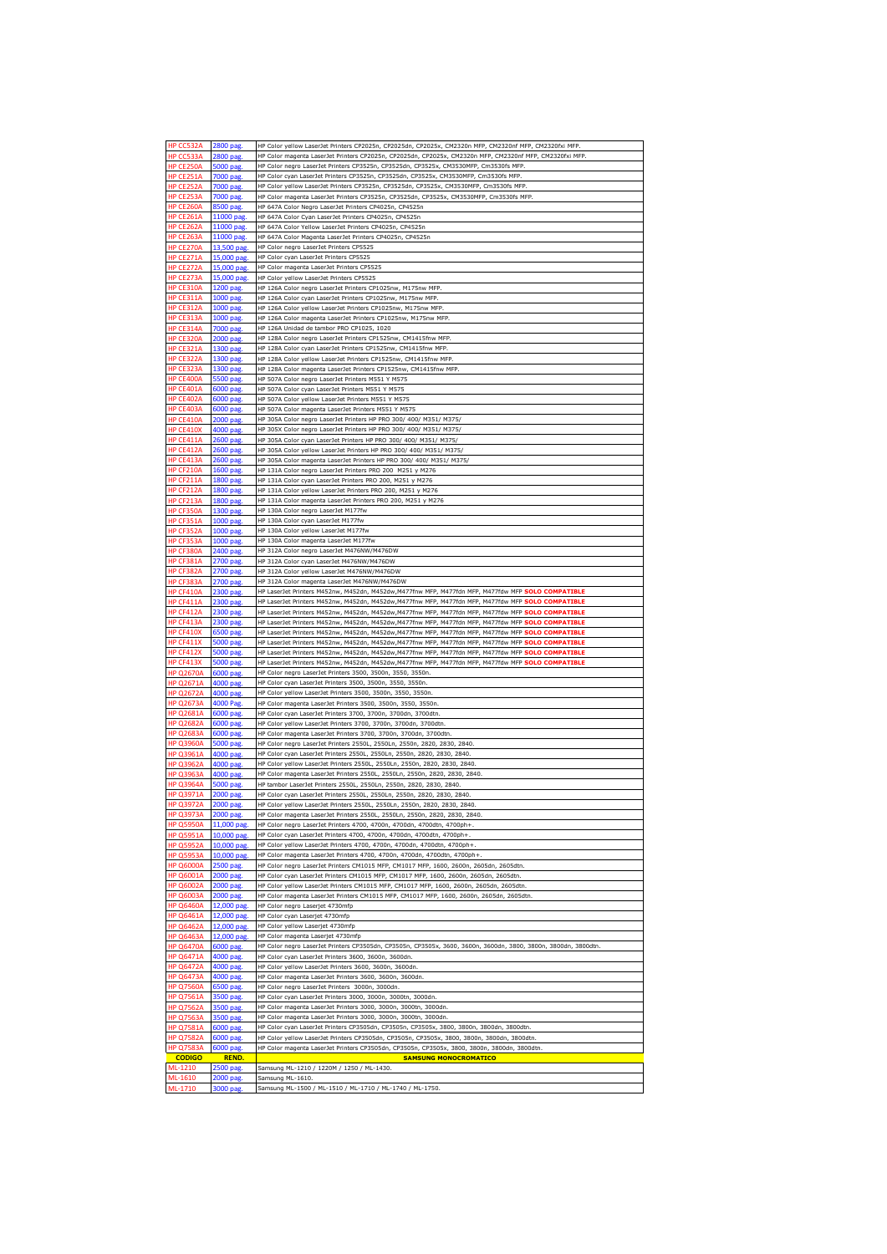| HP CC532A        | 2800 pag.       | HP Color yellow LaserJet Printers CP2025n, CP2025dn, CP2025x, CM2320n MFP, CM2320nf MFP, CM2320fxi MFP.         |
|------------------|-----------------|-----------------------------------------------------------------------------------------------------------------|
| HP CC533A        | 2800 pag        | HP Color magenta LaserJet Printers CP2025n, CP2025dn, CP2025x, CM2320n MFP, CM2320nf MFP, CM2320fxi MFP         |
| HP CE250A        | 5000 pag.       | HP Color negro LaserJet Printers CP3525n, CP3525dn, CP3525x, CM3530MFP, Cm3530fs MFP.                           |
| <b>HP CE251A</b> | 7000 pag        | HP Color cyan LaserJet Printers CP3525n, CP3525dn, CP3525x, CM3530MFP, Cm3530fs MFP                             |
|                  |                 |                                                                                                                 |
| HP CE252A        | 7000 pag.       | HP Color yellow LaserJet Printers CP3525n, CP3525dn, CP3525x, CM3530MFP, Cm3530fs MFP                           |
| HP CE253A        | 7000 pag.       | HP Color magenta LaserJet Printers CP3525n, CP3525dn, CP3525x, CM3530MFP, Cm3530fs MFP.                         |
| HP CE260A        | 8500 pag        | HP 647A Color Negro LaserJet Printers CP4025n, CP4525n                                                          |
| <b>HP CE261A</b> | 11000 pag       | HP 647A Color Cyan LaserJet Printers CP4025n, CP4525n                                                           |
| <b>HP CE262A</b> | 11000 pag       | HP 647A Color Yellow LaserJet Printers CP4025n, CP4525n                                                         |
| HP CE263A        | 11000 pag.      | HP 647A Color Magenta LaserJet Printers CP4025n, CP4525n                                                        |
| <b>HP CF2704</b> |                 |                                                                                                                 |
|                  | 13,500 pag      | HP Color negro LaserJet Printers CP5525                                                                         |
| <b>IP CE271/</b> | 15,000 pag      | HP Color cyan LaserJet Printers CP5525                                                                          |
| HP CE272A        | 15,000 pag      | HP Color magenta LaserJet Printers CP5525                                                                       |
| HP CE273A        | 15,000 pag.     | HP Color yellow LaserJet Printers CP5525                                                                        |
| HP CE310A        | 1200 pag        | HP 126A Color negro LaserJet Printers CP1025nw, M175nw MFP                                                      |
| HP CE311A        | 1000 pag.       | HP 126A Color cyan LaserJet Printers CP1025nw, M175nw MFP.                                                      |
|                  |                 |                                                                                                                 |
| HP CE312A        | 1000 pag.       | HP 126A Color yellow LaserJet Printers CP1025nw, M175nw MFP.                                                    |
| HP CE313A        | 1000 pag.       | HP 126A Color magenta LaserJet Printers CP1025nw, M175nw MFP.                                                   |
| <b>HP CE314A</b> | 7000 pag        | HP 126A Unidad de tambor PRO CP1025, 1020                                                                       |
| HP CE320A        | 2000 pag        | HP 128A Color negro LaserJet Printers CP1525nw, CM1415fnw MFP.                                                  |
| HP CE321A        | 1300 pag.       | HP 128A Color cyan LaserJet Printers CP1525nw, CM1415fnw MFP.                                                   |
| HP CE322A        | 1300 pag        | HP 128A Color yellow LaserJet Printers CP1525nw, CM1415fnw MFP                                                  |
|                  |                 |                                                                                                                 |
| HP CE323A        | 1300 pag        | HP 128A Color magenta LaserJet Printers CP1525nw, CM1415fnw MFP.                                                |
| HP CE400A        | 5500 pag        | HP 507A Color negro LaserJet Printers M551 Y M575                                                               |
| HP CE401A        | 6000 pag        | HP 507A Color cyan LaserJet Printers M551 Y M575                                                                |
| <b>HP CF402A</b> | 6000 pag        | HP 507A Color yellow LaserJet Printers M551 Y M575                                                              |
| <b>HP CE403A</b> | 6000 pag        | HP 507A Color magenta LaserJet Printers M551 Y M575                                                             |
|                  |                 |                                                                                                                 |
| HP CE410A        | 2000 pag        | HP 305A Color negro LaserJet Printers HP PRO 300/ 400/ M351/ M375/                                              |
| HP CE410X        | 4000 pag.       | HP 305X Color negro LaserJet Printers HP PRO 300/ 400/ M351/ M375/                                              |
| HP CE411A        | 2600 pag        | HP 305A Color cyan LaserJet Printers HP PRO 300/ 400/ M351/ M375/                                               |
| HP CE412A        | 2600 pag.       | HP 305A Color yellow LaserJet Printers HP PRO 300/ 400/ M351/ M375/                                             |
| HP CE413A        | 2600 pag.       | HP 305A Color magenta LaserJet Printers HP PRO 300/ 400/ M351/ M375/                                            |
|                  |                 |                                                                                                                 |
| HP CF210A        | 1600 pag.       | HP 131A Color negro LaserJet Printers PRO 200 M251 y M276                                                       |
| HP CF211A        | 1800 pag        | HP 131A Color cyan LaserJet Printers PRO 200, M251 y M276                                                       |
| <b>HP CF212A</b> | 1800 pag        | HP 131A Color yellow LaserJet Printers PRO 200, M251 y M276                                                     |
| HP CF213A        | 1800 pag.       | HP 131A Color magenta LaserJet Printers PRO 200, M251 y M276                                                    |
| HP CF350A        | 1300 pag        | HP 130A Color negro LaserJet M177fw                                                                             |
|                  |                 |                                                                                                                 |
| HP CF351A        | 1000 pag        | HP 130A Color cyan LaserJet M177fw                                                                              |
| <b>HP CF352A</b> | 1000 pag        | HP 130A Color yellow LaserJet M177fw                                                                            |
| HP CF353A        | 1000 pag        | HP 130A Color magenta LaserJet M177fw                                                                           |
| HP CF380A        | 2400 pag        | HP 312A Color negro LaserJet M476NW/M476DW                                                                      |
| HP CF381A        | 2700 pag.       | HP 312A Color cyan LaserJet M476NW/M476DW                                                                       |
|                  |                 |                                                                                                                 |
| HP CF382A        | 2700 pag.       | HP 312A Color yellow LaserJet M476NW/M476DW                                                                     |
| HP CF383A        | 2700 pag.       | HP 312A Color magenta LaserJet M476NW/M476DW                                                                    |
| <b>HP CF410A</b> | 2300 pag        | HP LaserJet Printers M452nw, M452dn, M452dw,M477fnw MFP, M477fdn MFP, M477fdw MFP SOLO COMPATIBLE               |
| HP CF411A        | 2300 pag.       | HP LaserJet Printers M452nw, M452dn, M452dw, M477fnw MFP, M477fdn MFP, M477fdw MFP SOLO COMPATIBLE              |
| HP CF412A        | 2300 pag        | HP LaserJet Printers M452nw, M452dn, M452dw, M477fnw MFP, M477fdn MFP, M477fdw MFP SOLO COMPATIBLE              |
| HP CF413A        | 2300 pag.       | HP LaserJet Printers M452nw, M452dn, M452dw, M477fnw MFP, M477fdn MFP, M477fdw MFP SOLO COMPATIBLE              |
|                  |                 |                                                                                                                 |
|                  |                 |                                                                                                                 |
| HP CF410X        | 6500 pag        | HP LaserJet Printers M452nw, M452dn, M452dw, M477fnw MFP, M477fdn MFP, M477fdw MFP SOLO COMPATIBLE              |
| <b>HP CF411X</b> | 5000 pag        | HP LaserJet Printers M452nw, M452dn, M452dw, M477fnw MFP, M477fdn MFP, M477fdw MFP SOLO COMPATIBLE              |
| HP CF412X        | 5000 pag.       | HP LaserJet Printers M452nw, M452dn, M452dw, M477fnw MFP, M477fdn MFP, M477fdw MFP SOLO COMPATIBLE              |
| HP CF413X        | <b>5000 pag</b> |                                                                                                                 |
|                  |                 | HP LaserJet Printers M452nw, M452dn, M452dw, M477fnw MFP, M477fdn MFP, M477fdw MFP SOLO COMPATIBLE              |
| HP Q2670A        | 6000 pag        | HP Color negro LaserJet Printers 3500, 3500n, 3550, 3550n.                                                      |
| <b>HP Q2671A</b> | 4000 pag        | HP Color cyan LaserJet Printers 3500, 3500n, 3550, 3550n.                                                       |
| <b>HP Q2672A</b> | 4000 pag        | HP Color yellow LaserJet Printers 3500, 3500n, 3550, 3550n.                                                     |
| <b>HP Q2673A</b> | 4000 Pag.       | HP Color magenta LaserJet Printers 3500, 3500n, 3550, 3550n.                                                    |
| <b>HP Q2681A</b> | 6000 pag.       | HP Color cyan LaserJet Printers 3700, 3700n, 3700dn, 3700dtn.                                                   |
|                  |                 |                                                                                                                 |
| <b>HP Q2682A</b> | 6000 pag        | HP Color yellow LaserJet Printers 3700, 3700n, 3700dn, 3700dtn.                                                 |
| <b>HP Q2683A</b> | 6000 pag.       | HP Color magenta LaserJet Printers 3700, 3700n, 3700dn, 3700dtn.                                                |
| <b>HP Q3960A</b> | 5000 pag        | HP Color negro LaserJet Printers 2550L, 2550Ln, 2550n, 2820, 2830,                                              |
| <b>HP Q3961A</b> | 4000 pag.       | HP Color cyan LaserJet Printers 2550L, 2550Ln, 2550n, 2820, 2830, 2840.                                         |
| HP Q3962A        | 4000 pag        | HP Color yellow LaserJet Printers 2550L, 2550Ln, 2550n, 2820, 2830, 2840.                                       |
| <b>HP Q3963A</b> | 4000 pag        | HP Color magenta LaserJet Printers 2550L, 2550Ln, 2550n, 2820, 2830, 2840.                                      |
| <b>HP Q3964A</b> |                 |                                                                                                                 |
|                  | 5000 pag        | HP tambor LaserJet Printers 2550L, 2550Ln, 2550n, 2820, 2830, 2840                                              |
| <b>HP Q3971A</b> | 2000 pag        | HP Color cyan LaserJet Printers 2550L, 2550Ln, 2550n, 2820, 2830, 2840.                                         |
| <b>HP 03972A</b> | 2000 pag        | HP Color yellow LaserJet Printers 2550L, 2550Ln, 2550n, 2820, 2830, 2840.                                       |
| <b>HP Q3973A</b> | 2000 pag        | HP Color magenta LaserJet Printers 2550L, 2550Ln, 2550n, 2820, 2830, 2840.                                      |
| <b>HP Q5950A</b> | 11,000 pag      | HP Color negro LaserJet Printers 4700, 4700n, 4700dn, 4700dtn, 4700ph+                                          |
| <b>HP Q5951A</b> | 10,000 pag      | HP Color cyan LaserJet Printers 4700, 4700n, 4700dn, 4700dtn, 4700ph+.                                          |
| <b>HP Q5952A</b> | 10,000 pag.     | HP Color yellow LaserJet Printers 4700, 4700n, 4700dn, 4700dtn, 4700ph+.                                        |
|                  |                 |                                                                                                                 |
| <b>HP Q5953A</b> | 10,000 pag      | HP Color magenta LaserJet Printers 4700, 4700n, 4700dn, 4700dtn, 4700ph+                                        |
| <b>HP Q6000A</b> | 2500 pag.       | HP Color negro LaserJet Printers CM1015 MFP, CM1017 MFP, 1600, 2600n, 2605dn, 2605dtn.                          |
| <b>HP Q6001A</b> | 2000 pag.       | HP Color cyan LaserJet Printers CM1015 MFP, CM1017 MFP, 1600, 2600n, 2605dn, 2605dtn.                           |
| <b>HP Q6002A</b> | 2000 pag.       | HP Color yellow LaserJet Printers CM1015 MFP, CM1017 MFP, 1600, 2600n, 2605dn, 2605dtn.                         |
| HP Q6003A        | 2000 pag        | HP Color magenta LaserJet Printers CM1015 MFP, CM1017 MFP, 1600, 2600n, 2605dn, 2605dtn                         |
|                  |                 | HP Color negro Laserjet 4730mfp                                                                                 |
| <b>HP Q6460A</b> | 12,000 pag.     |                                                                                                                 |
| <b>HP Q6461A</b> | 12,000 pag.     | HP Color cyan Laserjet 4730mfp                                                                                  |
| <b>HP Q6462A</b> | 12,000 pag.     | HP Color yellow Laserjet 4730mfp                                                                                |
| <b>HP Q6463A</b> | 12,000 pag      | HP Color magenta Laserjet 4730mfp                                                                               |
| <b>HP Q6470A</b> | 6000 pag.       | HP Color negro LaserJet Printers CP3505dn, CP3505n, CP3505x, 3600, 3600n, 3600dn, 3800, 3800n, 3800dn, 3800dtn. |
| <b>HP Q6471A</b> | 4000 pag.       | HP Color cyan LaserJet Printers 3600, 3600n, 3600dn.                                                            |
| <b>HP Q6472A</b> |                 |                                                                                                                 |
|                  | 4000 pag.       | HP Color yellow LaserJet Printers 3600, 3600n, 3600dn                                                           |
| <b>HP Q6473A</b> | 4000 pag        | HP Color magenta LaserJet Printers 3600, 3600n, 3600dn.                                                         |
| <b>HP Q7560A</b> | 6500 pag.       | HP Color negro LaserJet Printers 3000n, 3000dn.                                                                 |
| <b>HP Q7561A</b> | 3500 pag.       | HP Color cyan LaserJet Printers 3000, 3000n, 3000tn, 3000dn.                                                    |
| <b>HP Q7562A</b> | 3500 pag        | HP Color magenta LaserJet Printers 3000, 3000n, 3000tn, 3000dn.                                                 |
| <b>HP Q7563A</b> | 3500 pag.       | HP Color magenta LaserJet Printers 3000, 3000n, 3000tn, 3000dn.                                                 |
|                  |                 |                                                                                                                 |
| <b>HP Q7581A</b> | 6000 pag.       | HP Color cyan LaserJet Printers CP3505dn, CP3505n, CP3505x, 3800, 3800n, 3800dn, 3800dtn.                       |
| <b>HP Q7582A</b> | 6000 pag.       | HP Color yellow LaserJet Printers CP3505dn, CP3505n, CP3505x, 3800, 3800n, 3800dn, 3800dtn.                     |
| HP Q7583A        | 6000 pag        | HP Color magenta LaserJet Printers CP3505dn, CP3505n, CP3505x, 3800, 3800n, 3800dn, 3800dtn.                    |
| <b>CODIGO</b>    | <b>REND.</b>    | <b>SAMSUNG MONOCROMATICO</b>                                                                                    |
| ML-1210          | 2500 pag.       | Samsung ML-1210 / 1220M / 1250 / ML-1430.                                                                       |
| ML-1610          | 2000 pag        | Samsung ML-1610.                                                                                                |
| ML-1710          | 3000 pag        | Samsung ML-1500 / ML-1510 / ML-1710 / ML-1740 / ML-1750.                                                        |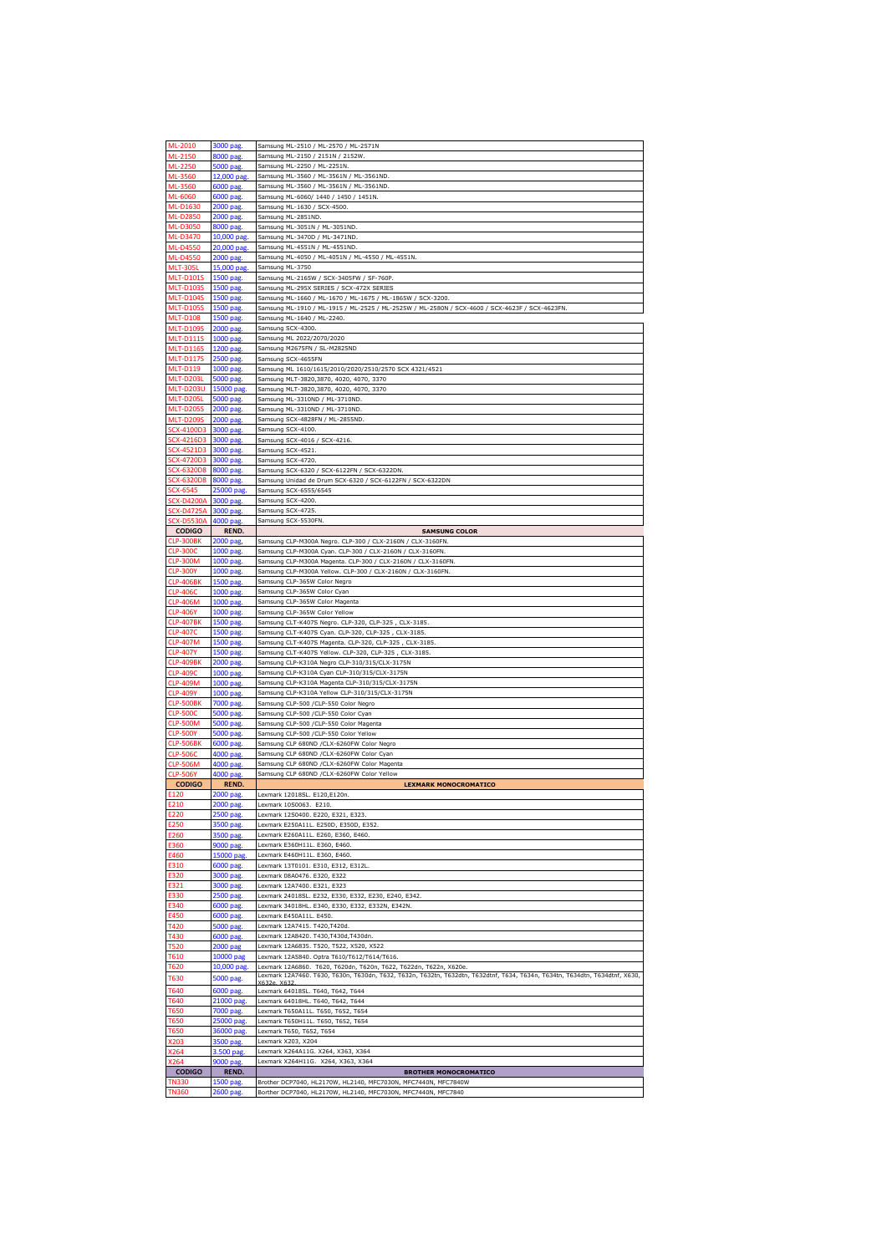| ML-2010               | 3000 pag              | Samsung ML-2510 / ML-2570 / ML-2571N                                                                                            |
|-----------------------|-----------------------|---------------------------------------------------------------------------------------------------------------------------------|
| ML-2150               | 8000 pag              | Samsung ML-2150 / 2151N / 2152W                                                                                                 |
|                       |                       |                                                                                                                                 |
| ML-2250               | 5000 pag              | Samsung ML-2250 / ML-2251N.                                                                                                     |
|                       |                       | Samsung ML-3560 / ML-3561N / ML-3561ND.                                                                                         |
| ML-3560               | 12,000 pag            |                                                                                                                                 |
| ML-3560               | 6000 pag.             | Samsung ML-3560 / ML-3561N / ML-3561ND.                                                                                         |
| ML-6060               | 6000 pag              | Samsung ML-6060/ 1440 / 1450 / 1451N                                                                                            |
|                       |                       |                                                                                                                                 |
| ML-D1630              | 2000 pag.             | Samsung ML-1630 / SCX-4500.                                                                                                     |
| ML-D2850              | 2000 pag.             | Samsung ML-2851ND.                                                                                                              |
| ML-D3050              | 8000 pag.             | Samsung ML-3051N / ML-3051ND.                                                                                                   |
|                       |                       |                                                                                                                                 |
| ML-D3470              | 10,000 pag            | Samsung ML-3470D / ML-3471ND                                                                                                    |
| ML-D4550              | 20,000 pag.           | Samsung ML-4551N / ML-4551ND.                                                                                                   |
|                       |                       |                                                                                                                                 |
| <b>ML-D4550</b>       | 2000 pag.             | Samsung ML-4050 / ML-4051N / ML-4550 / ML-4551N.                                                                                |
| <b>MLT-305L</b>       | 15,000 pag.           | Samsung ML-3750                                                                                                                 |
| MLT-D101              | 1500 pag              | Samsung ML-2165W / SCX-3405FW / SF-760P                                                                                         |
|                       |                       |                                                                                                                                 |
| <b>MLT-D103S</b>      | 1500 pag              | Samsung ML-295X SERIES / SCX-472X SERIES                                                                                        |
| <b>MLT-D104S</b>      | 1500 pag.             | Samsung ML-1660 / ML-1670 / ML-1675 / ML-1865W / SCX-3200                                                                       |
| <b>MLT-D105S</b>      | 1500 pag              | Samsung ML-1910 / ML-1915 / ML-2525 / ML-2525W / ML-2580N / SCX-4600 / SCX-4623F / SCX-4623FN                                   |
|                       |                       |                                                                                                                                 |
| <b>MLT-D108</b>       | 1500 pag              | Samsung ML-1640 / ML-2240.                                                                                                      |
| <b>MLT-D1099</b>      | 2000 pag              | Samsung SCX-4300.                                                                                                               |
| <b>MLT-D111S</b>      | 1000 pag.             | Samsung ML 2022/2070/2020                                                                                                       |
|                       |                       |                                                                                                                                 |
| <b>MLT-D116S</b>      | 1200 pag              | Samsung M2675FN / SL-M2825ND                                                                                                    |
| <b>MLT-D117S</b>      | 2500 pag.             | Samsung SCX-4655FN                                                                                                              |
| MLT-D119              | 1000 pag.             | Samsung ML 1610/1615/2010/2020/2510/2570 SCX 4321/4521                                                                          |
|                       |                       |                                                                                                                                 |
| <b>MLT-D203L</b>      | 5000 pag.             | Samsung MLT-3820,3870, 4020, 4070, 3370                                                                                         |
| MLT-D203U             | 15000 pag             | Samsung MLT-3820,3870, 4020, 4070, 3370                                                                                         |
|                       |                       |                                                                                                                                 |
| <b>MLT-D205L</b>      | 5000 pag.             | Samsung ML-3310ND / ML-3710ND.                                                                                                  |
| <b>MLT-D205S</b>      | 2000 pag.             | Samsung ML-3310ND / ML-3710ND.                                                                                                  |
| <b>MLT-D209S</b>      | 2000 pag              | Samsung SCX-4828FN / ML-2855ND                                                                                                  |
|                       |                       |                                                                                                                                 |
| CX-4100D3             | 3000 pag              | Samsung SCX-4100.                                                                                                               |
| SCX-4216D3            | 3000 pag              | Samsung SCX-4016 / SCX-4216.                                                                                                    |
| SCX-4521D3            | 3000 pag.             |                                                                                                                                 |
|                       |                       | Samsung SCX-4521.                                                                                                               |
| SCX-4720D3            | 3000 pag              | Samsung SCX-4720                                                                                                                |
| $X-632008$            | 8000 pag              | Samsung SCX-6320 / SCX-6122FN / SCX-6322DN                                                                                      |
|                       |                       |                                                                                                                                 |
| SCX-6320D8            | 8000 pag              | Samsung Unidad de Drum SCX-6320 / SCX-6122FN / SCX-6322DN                                                                       |
| SCX-6545              | 25000 pag.            | Samsung SCX-6555/6545                                                                                                           |
| $CX- D4200A$          | 3000 pag              | Samsung SCX-4200                                                                                                                |
| CX-D4725A             | 3000 pag.             | Samsung SCX-4725.                                                                                                               |
|                       |                       |                                                                                                                                 |
| <b>SCX-D5530A</b>     | 4000 pag.             | Samsung SCX-5530FN                                                                                                              |
| <b>CODIGO</b>         | REND.                 | <b>SAMSUNG COLOR</b>                                                                                                            |
|                       |                       |                                                                                                                                 |
| <b>CLP-300BK</b>      | 2000 pag              | Samsung CLP-M300A Negro. CLP-300 / CLX-2160N / CLX-3160FN                                                                       |
| <b>CLP-300C</b>       | 1000 pag.             | Samsung CLP-M300A Cyan. CLP-300 / CLX-2160N / CLX-3160FN.                                                                       |
| <b>CLP-300M</b>       | 1000 pag.             | Samsung CLP-M300A Magenta. CLP-300 / CLX-2160N / CLX-3160FN.                                                                    |
|                       |                       |                                                                                                                                 |
| <b>CLP-300Y</b>       | 1000 pag              | Samsung CLP-M300A Yellow. CLP-300 / CLX-2160N / CLX-3160FN                                                                      |
| <b>CLP-406BK</b>      | 1500 pag              | Samsung CLP-365W Color Negro                                                                                                    |
| <b>CLP-4060</b>       | 1000 pag              | Samsung CLP-365W Color Cyan                                                                                                     |
|                       |                       |                                                                                                                                 |
| <b>CLP-406M</b>       | 1000 pag.             | Samsung CLP-365W Color Magenta                                                                                                  |
| <b>CLP-406Y</b>       | 1000 pag              | Samsung CLP-365W Color Yellow                                                                                                   |
| <b>CLP-407BI</b>      | 1500 pag              | Samsung CLT-K407S Negro. CLP-320, CLP-325, CLX-3185.                                                                            |
|                       |                       |                                                                                                                                 |
|                       |                       |                                                                                                                                 |
| <b>CLP-407C</b>       | 1500 pag              | Samsung CLT-K407S Cyan. CLP-320, CLP-325, CLX-3185                                                                              |
|                       |                       |                                                                                                                                 |
| <b>CLP-407M</b>       | 1500 pag.             | Samsung CLT-K407S Magenta. CLP-320, CLP-325, CLX-3185.                                                                          |
| CIP-407Y              | 1500 pag              | Samsung CLT-K407S Yellow. CLP-320, CLP-325, CLX-3185                                                                            |
| CLP-409BK             | 2000 pag.             | Samsung CLP-K310A Negro CLP-310/315/CLX-3175N                                                                                   |
|                       |                       |                                                                                                                                 |
| <b>CLP-409C</b>       | 1000 pag.             | Samsung CLP-K310A Cyan CLP-310/315/CLX-3175N                                                                                    |
| <b>CLP-409M</b>       | 1000 pag.             | Samsung CLP-K310A Magenta CLP-310/315/CLX-3175N                                                                                 |
| CLP-409Y              | 1000 pag              | Samsung CLP-K310A Yellow CLP-310/315/CLX-3175N                                                                                  |
|                       |                       |                                                                                                                                 |
| CLP-500BK             | 7000 pag.             | Samsung CLP-500 /CLP-550 Color Negro                                                                                            |
| <b>CLP-500C</b>       | 5000 pag.             | Samsung CLP-500 /CLP-550 Color Cyan                                                                                             |
| <b>CLP-500M</b>       | 5000 pag              | Samsung CLP-500 /CLP-550 Color Magenta                                                                                          |
| CLP-500)              |                       |                                                                                                                                 |
|                       | 5000 pag              | Samsung CLP-500 /CLP-550 Color Yellow                                                                                           |
| <b>CLP-506BK</b>      | 6000 pag              | Samsung CLP 680ND /CLX-6260FW Color Negro                                                                                       |
| <b>CLP-506C</b>       | 4000 pag.             | Samsung CLP 680ND /CLX-6260FW Color Cyan                                                                                        |
|                       |                       |                                                                                                                                 |
| <b>CLP-506M</b>       | 4000 pag              | Samsung CLP 680ND /CLX-6260FW Color Magenta                                                                                     |
| <b>CLP-506Y</b>       | 4000 pag              | Samsung CLP 680ND /CLX-6260FW Color Yellow                                                                                      |
| <b>CODIGO</b>         | <b>REND.</b>          | <b>LEXMARK MONOCROMATICO</b>                                                                                                    |
| 120                   | 2000 pag.             | Lexmark 12018SL. E120,E120n.                                                                                                    |
| 210                   | $2000 \text{ na}$     | exmark 10S0063                                                                                                                  |
|                       |                       |                                                                                                                                 |
| E220                  | 2500 pag.             | Lexmark 12S0400. E220, E321, E323.                                                                                              |
| E250                  | 3500 pag.             | Lexmark E250A11L. E250D, E350D, E352                                                                                            |
|                       |                       |                                                                                                                                 |
| E260                  | 3500 pag.             | Lexmark E260A11L. E260, E360, E460.                                                                                             |
| E360                  | 9000 pag.             | Lexmark E360H11L. E360, E460.                                                                                                   |
|                       |                       | Lexmark E460H11L. E360, E460.                                                                                                   |
| E460                  | 15000 pag             |                                                                                                                                 |
| E310                  | 6000 pag.             | Lexmark 13T0101. E310, E312, E312L.                                                                                             |
| E320                  | 3000 pag.             | Lexmark 08A0476. E320, E322                                                                                                     |
| E321                  |                       | Lexmark 12A7400. E321, E323                                                                                                     |
|                       | 3000 pag              |                                                                                                                                 |
| E330                  | 2500 pag              | Lexmark 24018SL. E232, E330, E332, E230, E240, E342.                                                                            |
| E340                  | 6000 pag.             | Lexmark 34018HL. E340, E330, E332, E332N, E342N.                                                                                |
| E450                  | 6000 pag.             | Lexmark E450A11L. E450.                                                                                                         |
|                       |                       |                                                                                                                                 |
| T420                  | 5000 pag.             | Lexmark 12A7415. T420, T420d.                                                                                                   |
| T430                  | 6000 pag.             | Lexmark 12A8420. T430, T430d, T430dn.                                                                                           |
| <b>T520</b>           | 2000 pag              | Lexmark 12A6835. T520, T522, X520, X522                                                                                         |
|                       |                       |                                                                                                                                 |
| T610                  | 10000 pag             | Lexmark 12A5840. Optra T610/T612/T614/T616                                                                                      |
| T620                  | 10,000 pag.           | Lexmark 12A6860. T620, T620dn, T620n, T622, T622dn, T622n, X620e.                                                               |
|                       |                       | Lexmark 12A7460. T630, T630n, T630dn, T632, T632n, T632tn, T632dtn, T632dtnf, T634, T634n, T634tn, T634dtn, T634dtnf, X630,     |
| <b>T630</b>           | 5000 pag.             | X632e. X632                                                                                                                     |
| T640                  | 6000 pag              | Lexmark 64018SL. T640, T642, T644                                                                                               |
|                       |                       | Lexmark 64018HL. T640, T642, T644                                                                                               |
| T640                  | 21000 pag.            |                                                                                                                                 |
| T650                  | 7000 pag.             | Lexmark T650A11L. T650, T652, T654                                                                                              |
| <b>T650</b>           | 25000 pag.            | Lexmark T650H11L. T650, T652, T654                                                                                              |
| <b>T650</b>           | 36000 pag.            | Lexmark T650, T652, T654                                                                                                        |
|                       |                       |                                                                                                                                 |
| X203                  | 3500 pag.             | Lexmark X203, X204                                                                                                              |
| X264                  | 3.500 pag.            | Lexmark X264A11G. X264, X363, X364                                                                                              |
| X264                  | 9000 pag              | Lexmark X264H11G. X264, X363, X364                                                                                              |
| <b>CODIGO</b>         | REND.                 | <b>BROTHER MONOCROMATICO</b>                                                                                                    |
|                       |                       |                                                                                                                                 |
| TN330<br><b>TN360</b> | 1500 pag<br>2600 pag. | Brother DCP7040, HL2170W, HL2140, MFC7030N, MFC7440N, MFC7840W<br>Borther DCP7040, HL2170W, HL2140, MFC7030N, MFC7440N, MFC7840 |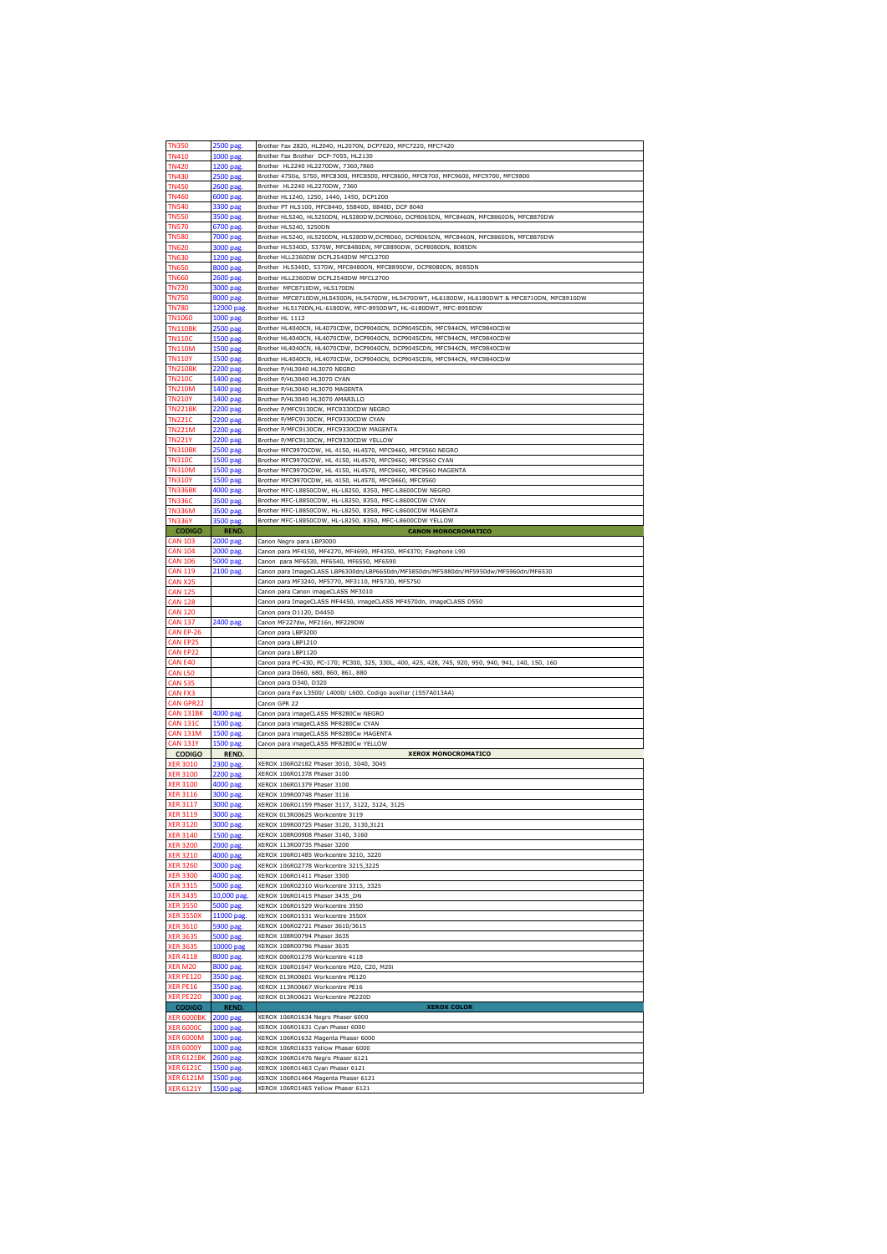| <b>TN350</b>      | 2500 pag.   | Brother Fax 2820, HL2040, HL2070N, DCP7020, MFC7220, MFC7420                                       |
|-------------------|-------------|----------------------------------------------------------------------------------------------------|
| <b>TN410</b>      | 1000 pag    | Brother Fax Brother DCP-7055, HL2130                                                               |
|                   |             |                                                                                                    |
| <b>TN420</b>      | 1200 pag.   | Brother HL2240 HL2270DW, 7360,7860                                                                 |
| <b>TN430</b>      | 2500 pag.   | Brother 4750e, 5750, MFC8300, MFC8500, MFC8600, MFC8700, MFC9600, MFC9700, MFC9800                 |
| <b>TN450</b>      | 2600 pag.   | Brother HL2240 HL2270DW, 7360                                                                      |
| <b>TN460</b>      |             | Brother HL1240, 1250, 1440, 1450, DCP1200                                                          |
|                   | 6000 pag    |                                                                                                    |
| <b>TN540</b>      | 3300 pag    | Brother PT HL5100, MFC8440, 55840D, 8840D, DCP 8040                                                |
| <b>TN550</b>      | 3500 pag.   | Brother HL5240, HL5250DN, HL5280DW,DCP8060, DCP8065DN, MFC8460N, MFC8860DN, MFC8870DW              |
| <b>TN570</b>      | 6700 pag.   | Brother HL5240, 5250DN                                                                             |
|                   |             |                                                                                                    |
| <b>TN580</b>      | 7000 pag    | Brother HL5240, HL5250DN, HL5280DW,DCP8060, DCP8065DN, MFC8460N, MFC8860DN, MFC8870DW              |
| <b>TN620</b>      | 3000 pag    | Brother HL5340D, 5370W, MFC8480DN, MFC8890DW, DCP8080DN, 8085DN                                    |
| <b>TN630</b>      | 1200 pag.   | Brother HLL2360DW DCPL2540DW MFCL2700                                                              |
| <b>TN650</b>      | 8000 pag.   | Brother HL5340D, 5370W, MFC8480DN, MFC8890DW, DCP8080DN, 8085DN                                    |
|                   |             |                                                                                                    |
| <b>TN660</b>      | 2600 pag.   | Brother HLL2360DW DCPL2540DW MFCL2700                                                              |
| <b>TN720</b>      | 3000 pag.   | Brother MFC8710DW, HL5170DN                                                                        |
| <b>TN750</b>      | 8000 pag.   | Brother MFC8710DW,HL5450DN, HL5470DW, HL5470DWT, HL6180DW, HL6180DWT & MFC8710DN, MFC8910DW        |
|                   |             |                                                                                                    |
| <b>TN780</b>      | 12000 pag   | Brother HL5170DN,HL-6180DW, MFC-8950DWT, HL-6180DWT, MFC-8950DW                                    |
| <b>TN1060</b>     | 1000 pag.   | Brother HL 1112                                                                                    |
| <b>TN110BK</b>    | 2500 pag.   | Brother HL4040CN, HL4070CDW, DCP9040CN, DCP9045CDN, MFC944CN, MFC9840CDW                           |
| <b>TN110C</b>     | 1500 pag.   | Brother HL4040CN, HL4070CDW, DCP9040CN, DCP9045CDN, MFC944CN, MFC9840CDW                           |
|                   |             |                                                                                                    |
| <b>TN110M</b>     | 1500 pag    | Brother HL4040CN, HL4070CDW, DCP9040CN, DCP9045CDN, MFC944CN, MFC9840CDW                           |
| <b>TN110Y</b>     | 1500 pag    | Brother HL4040CN, HL4070CDW, DCP9040CN, DCP9045CDN, MFC944CN, MFC9840CDW                           |
| <b>TN210BK</b>    | 2200 pag.   | Brother P/HL3040 HL3070 NEGRO                                                                      |
| <b>TN210C</b>     |             | Brother P/HL3040 HL3070 CYAN                                                                       |
|                   | 1400 pag.   |                                                                                                    |
| <b>TN210M</b>     | 1400 pag    | Brother P/HL3040 HL3070 MAGENTA                                                                    |
| <b>TN210Y</b>     | 1400 pag    | Brother P/HL3040 HL3070 AMARILLO                                                                   |
| <b>TN221BK</b>    | 2200 pag.   | Brother P/MFC9130CW, MFC9330CDW NEGRO                                                              |
|                   |             |                                                                                                    |
| <b>TN221C</b>     | 2200 pag.   | Brother P/MFC9130CW, MFC9330CDW CYAN                                                               |
| <b>TN221M</b>     | 2200 pag.   | Brother P/MFC9130CW, MFC9330CDW MAGENTA                                                            |
| TN221Y            | 2200 pag.   | Brother P/MFC9130CW, MFC9330CDW YELLOW                                                             |
| <b>TN310BK</b>    |             | Brother MFC9970CDW, HL 4150, HL4570, MFC9460, MFC9560 NEGRO                                        |
|                   | 2500 pag.   |                                                                                                    |
| TN310C            | 1500 pag    | Brother MFC9970CDW, HL 4150, HL4570, MFC9460, MFC9560 CYAN                                         |
| <b>TN310M</b>     | 1500 pag.   | Brother MFC9970CDW, HL 4150, HL4570, MFC9460, MFC9560 MAGENTA                                      |
| <b>TN310Y</b>     | 1500 pag.   | Brother MFC9970CDW, HL 4150, HL4570, MFC9460, MFC9560                                              |
|                   |             |                                                                                                    |
| <b>TN336BK</b>    | 4000 pag.   | Brother MFC-L8850CDW, HL-L8250, 8350, MFC-L8600CDW NEGRO                                           |
| TN336C            | 3500 pag    | Brother MFC-L8850CDW, HL-L8250, 8350, MFC-L8600CDW CYAN                                            |
| <b>TN336M</b>     | 3500 pag    | Brother MFC-L8850CDW, HL-L8250, 8350, MFC-L8600CDW MAGENTA                                         |
| <b>TN336Y</b>     | 3500 pag    | Brother MFC-L8850CDW, HL-L8250, 8350, MFC-L8600CDW YELLOW                                          |
|                   |             |                                                                                                    |
| <b>CODIGO</b>     | REND.       | <b>CANON MONOCROMATICO</b>                                                                         |
| CAN 103           | 2000 pag    | Canon Negro para LBP3000                                                                           |
| <b>CAN 104</b>    | 2000 pag.   | Canon para MF4150, MF4270, MF4690, MF4350, MF4370; Faxphone L90                                    |
|                   |             |                                                                                                    |
| <b>CAN 106</b>    | 5000 pag.   | Canon para MF6530, MF6540, MF6550, MF6590                                                          |
| <b>CAN 119</b>    | 2100 pag    | Canon para ImageCLASS LBP6300dn/LBP6650dn/MF5850dn/MF5880dn/MF5950dw/MF5960dn/MF6530               |
| CAN X25           |             | Canon para MF3240, MF5770, MF3110, MF5730, MF5750                                                  |
| <b>CAN 125</b>    |             | Canon para Canon imageCLASS MF3010                                                                 |
|                   |             |                                                                                                    |
| <b>CAN 128</b>    |             | Canon para ImageCLASS MF4450, imageCLASS MF4570dn, imageCLASS D550                                 |
| CAN 120           |             | Canon para D1120, D4450                                                                            |
| <b>CAN 137</b>    | 2400 pag.   | Canon MF227dw, MF216n, MF229DW                                                                     |
|                   |             |                                                                                                    |
|                   |             |                                                                                                    |
| CAN EP-26         |             | Canon para LBP3200                                                                                 |
| <b>CAN EP25</b>   |             | Canon para LBP1210                                                                                 |
| CAN EP22          |             | Canon para LBP1120                                                                                 |
|                   |             |                                                                                                    |
| CAN E40           |             | Canon para PC-430, PC-170; PC300, 325, 330L, 400, 425, 428, 745, 920, 950, 940, 941, 140, 150, 160 |
| <b>CAN L50</b>    |             | Canon para D660, 680, 860, 861, 880                                                                |
| <b>CAN S35</b>    |             | Canon para D340, D320                                                                              |
|                   |             |                                                                                                    |
| CAN FX3           |             | Canon para Fax L3500/ L4000/ L600. Codigo auxiliar (1557A013AA)                                    |
| <b>CAN GPR22</b>  |             | Canon GPR 22                                                                                       |
| <b>CAN 131BK</b>  | 4000 pag.   | Canon para imageCLASS MF8280Cw NEGRO                                                               |
| <b>CAN 131C</b>   | 1500 pag.   | Canon para imageCLASS MF8280Cw CYAN                                                                |
|                   |             |                                                                                                    |
| CAN 131M          | 1500 pag.   | Canon para imageCLASS MF8280Cw MAGENTA                                                             |
| <b>CAN 131Y</b>   | 1500 pag.   | Canon para imageCLASS MF8280Cw YELLOW                                                              |
| <b>CODIGO</b>     | REND.       | <b>XEROX MONOCROMATICO</b>                                                                         |
| <b>ER 3010</b>    | 2300 pag    | XEROX 106R02182 Phaser 3010, 3040, 3045                                                            |
| <b>XER 3100</b>   | 2200 pag.   | XEROX 106R01378 Phaser 3100                                                                        |
|                   |             |                                                                                                    |
| <b>XER 3100</b>   | 4000 pag.   | XEROX 106R01379 Phaser 3100                                                                        |
| <b>XER 3116</b>   | 3000 pag.   | XEROX 109R00748 Phaser 3116                                                                        |
|                   |             |                                                                                                    |
| <b>XER 3119</b>   | 3000 pag    | XEROX 013R00625 Workcentre 3119                                                                    |
| <b>XER 3120</b>   |             |                                                                                                    |
|                   | 3000 pag.   | XEROX 109R00725 Phaser 3120, 3130, 3121                                                            |
| <b>XER 3140</b>   | 1500 pag.   | XEROX 108R00908 Phaser 3140, 3160                                                                  |
| <b>XER 3200</b>   | 2000 pag.   | XEROX 113R00735 Phaser 3200                                                                        |
|                   |             | XEROX 106R01485 Workcentre 3210, 3220                                                              |
| <b>XER 3210</b>   | 4000 pag.   |                                                                                                    |
| <b>XER 3260</b>   | 3000 pag.   | XEROX 106R02778 Workcentre 3215,3225                                                               |
| <b>XER 3300</b>   | 4000 pag.   | XEROX 106R01411 Phaser 3300                                                                        |
| <b>XER 3315</b>   | 5000 pag.   | XEROX 106R02310 Workcentre 3315, 3325                                                              |
| <b>XER 3435</b>   | 10,000 pag. | XEROX 106R01415 Phaser 3435_DN                                                                     |
|                   |             |                                                                                                    |
| <b>XER 3550</b>   | 5000 pag.   | XEROX 106R01529 Workcentre 3550                                                                    |
| KER 3550X         | 11000 pag   | XEROX 106R01531 Workcentre 3550X                                                                   |
| <b>XER 3610</b>   | 5900 pag.   | XEROX 106R02721 Phaser 3610/3615                                                                   |
|                   |             |                                                                                                    |
| <b>XER 3635</b>   | 5000 pag.   | XEROX 108R00794 Phaser 3635                                                                        |
| <b>XER 3635</b>   | 10000 pag   | XEROX 108R00796 Phaser 3635                                                                        |
| <b>XER 4118</b>   | 8000 pag.   | XEROX 006R01278 Workcentre 4118                                                                    |
| XER M20           | 8000 pag.   | XEROX 106R01047 Workcentre M20, C20, M20i                                                          |
|                   |             |                                                                                                    |
| <b>XER PE120</b>  | 3500 pag.   | XEROX 013R00601 Workcentre PE120                                                                   |
| XER PE16          | 3500 pag.   | XEROX 113R00667 Workcentre PE16                                                                    |
| <b>XER PE220</b>  | 3000 pag.   | XEROX 013R00621 Workcentre PE220D                                                                  |
|                   |             |                                                                                                    |
| <b>CODIGO</b>     | REND.       | <b>XEROX COLOR</b>                                                                                 |
| <b>XER 6000BK</b> | 2000 pag.   | XEROX 106R01634 Negro Phaser 6000                                                                  |
| <b>KER 6000C</b>  | 1000 pag    | XEROX 106R01631 Cyan Phaser 6000                                                                   |
| <b>XER 6000M</b>  | 1000 pag.   | XEROX 106R01632 Magenta Phaser 6000                                                                |
|                   |             |                                                                                                    |
| <b>XER 6000Y</b>  | 1000 pag.   | XEROX 106R01633 Yellow Phaser 6000                                                                 |
| <b>XER 6121BK</b> | 2600 pag.   | XEROX 106R01476 Negro Phaser 6121                                                                  |
| <b>XER 6121C</b>  | 1500 pag    | XEROX 106R01463 Cyan Phaser 6121                                                                   |
| <b>XER 6121M</b>  | 1500 pag.   | XEROX 106R01464 Magenta Phaser 6121                                                                |
| <b>XER 6121Y</b>  | 1500 pag.   | XEROX 106R01465 Yellow Phaser 6121                                                                 |